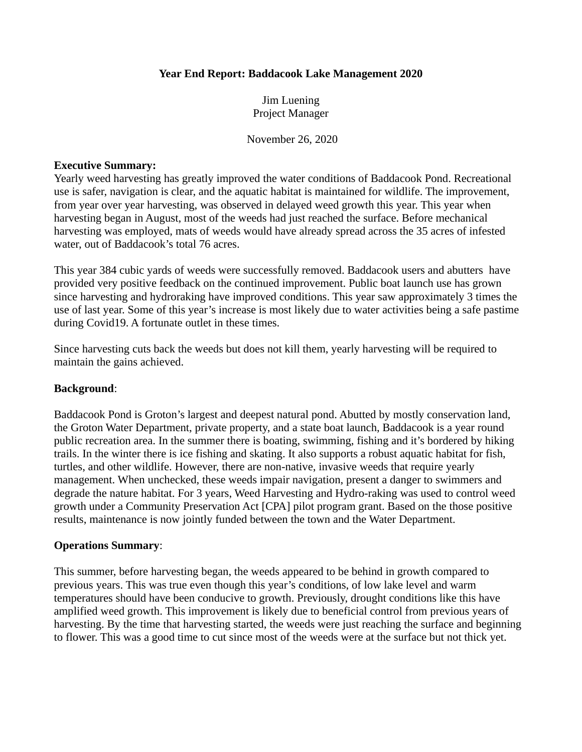## **Year End Report: Baddacook Lake Management 2020**

Jim Luening Project Manager

November 26, 2020

## **Executive Summary:**

Yearly weed harvesting has greatly improved the water conditions of Baddacook Pond. Recreational use is safer, navigation is clear, and the aquatic habitat is maintained for wildlife. The improvement, from year over year harvesting, was observed in delayed weed growth this year. This year when harvesting began in August, most of the weeds had just reached the surface. Before mechanical harvesting was employed, mats of weeds would have already spread across the 35 acres of infested water, out of Baddacook's total 76 acres.

This year 384 cubic yards of weeds were successfully removed. Baddacook users and abutters have provided very positive feedback on the continued improvement. Public boat launch use has grown since harvesting and hydroraking have improved conditions. This year saw approximately 3 times the use of last year. Some of this year's increase is most likely due to water activities being a safe pastime during Covid19. A fortunate outlet in these times.

Since harvesting cuts back the weeds but does not kill them, yearly harvesting will be required to maintain the gains achieved.

## **Background**:

Baddacook Pond is Groton's largest and deepest natural pond. Abutted by mostly conservation land, the Groton Water Department, private property, and a state boat launch, Baddacook is a year round public recreation area. In the summer there is boating, swimming, fishing and it's bordered by hiking trails. In the winter there is ice fishing and skating. It also supports a robust aquatic habitat for fish, turtles, and other wildlife. However, there are non-native, invasive weeds that require yearly management. When unchecked, these weeds impair navigation, present a danger to swimmers and degrade the nature habitat. For 3 years, Weed Harvesting and Hydro-raking was used to control weed growth under a Community Preservation Act [CPA] pilot program grant. Based on the those positive results, maintenance is now jointly funded between the town and the Water Department.

## **Operations Summary**:

This summer, before harvesting began, the weeds appeared to be behind in growth compared to previous years. This was true even though this year's conditions, of low lake level and warm temperatures should have been conducive to growth. Previously, drought conditions like this have amplified weed growth. This improvement is likely due to beneficial control from previous years of harvesting. By the time that harvesting started, the weeds were just reaching the surface and beginning to flower. This was a good time to cut since most of the weeds were at the surface but not thick yet.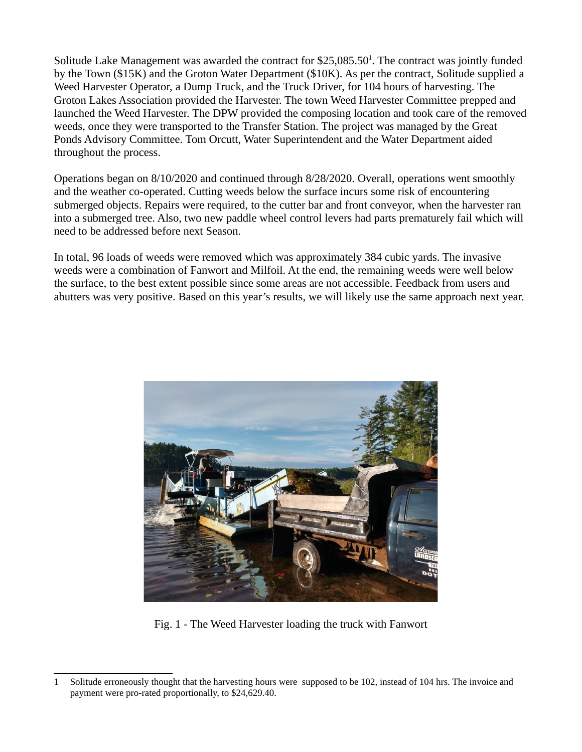Solitude Lake Management was awarded the contract for  $$25,085.50<sup>1</sup>$  $$25,085.50<sup>1</sup>$  $$25,085.50<sup>1</sup>$ . The contract was jointly funded by the Town (\$15K) and the Groton Water Department (\$10K). As per the contract, Solitude supplied a Weed Harvester Operator, a Dump Truck, and the Truck Driver, for 104 hours of harvesting. The Groton Lakes Association provided the Harvester. The town Weed Harvester Committee prepped and launched the Weed Harvester. The DPW provided the composing location and took care of the removed weeds, once they were transported to the Transfer Station. The project was managed by the Great Ponds Advisory Committee. Tom Orcutt, Water Superintendent and the Water Department aided throughout the process.

Operations began on 8/10/2020 and continued through 8/28/2020. Overall, operations went smoothly and the weather co-operated. Cutting weeds below the surface incurs some risk of encountering submerged objects. Repairs were required, to the cutter bar and front conveyor, when the harvester ran into a submerged tree. Also, two new paddle wheel control levers had parts prematurely fail which will need to be addressed before next Season.

In total, 96 loads of weeds were removed which was approximately 384 cubic yards. The invasive weeds were a combination of Fanwort and Milfoil. At the end, the remaining weeds were well below the surface, to the best extent possible since some areas are not accessible. Feedback from users and abutters was very positive. Based on this year's results, we will likely use the same approach next year.



Fig. 1 - The Weed Harvester loading the truck with Fanwort

<span id="page-1-0"></span><sup>1</sup> Solitude erroneously thought that the harvesting hours were supposed to be 102, instead of 104 hrs. The invoice and payment were pro-rated proportionally, to \$24,629.40.